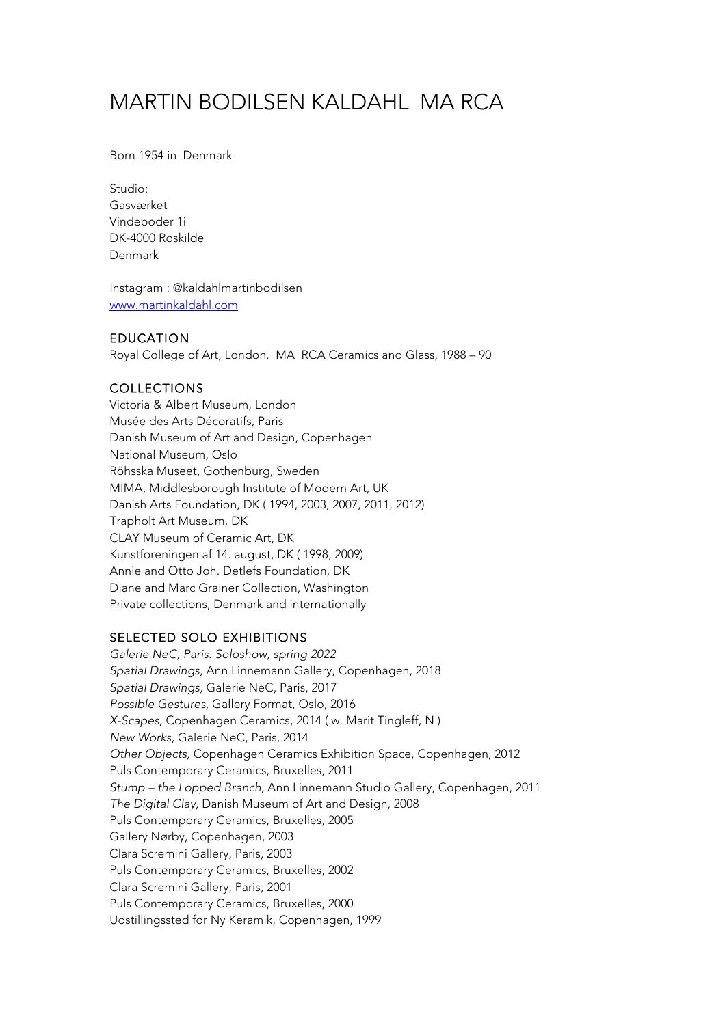# MARTIN BODILSEN KALDAHL MA RCA

Born 1954 in Denmark

Studio: Gasværket Vindeboder 1i DK-4000 Roskilde Denmark

Instagram : @kaldahlmartinbodilsen www.martinkaldahl.com

### EDUCATION

Royal College of Art, London. MA RCA Ceramics and Glass, 1988 – 90

## COLLECTIONS

Victoria & Albert Museum, London Musée des Arts Décoratifs, Paris Danish Museum of Art and Design, Copenhagen National Museum, Oslo Röhsska Museet, Gothenburg, Sweden MIMA, Middlesborough Institute of Modern Art, UK Danish Arts Foundation, DK ( 1994, 2003, 2007, 2011, 2012) Trapholt Art Museum, DK CLAY Museum of Ceramic Art, DK Kunstforeningen af 14. august, DK ( 1998, 2009) Annie and Otto Joh. Detlefs Foundation, DK Diane and Marc Grainer Collection, Washington Private collections, Denmark and internationally

### SELECTED SOLO EXHIBITIONS

*Galerie NeC, Paris. Soloshow, spring 2022 Spatial Drawings,* Ann Linnemann Gallery, Copenhagen, 2018 *Spatial Drawings,* Galerie NeC, Paris, 2017 *Possible Gestures,* Gallery Format, Oslo, 2016 *X-Scapes,* Copenhagen Ceramics, 2014 ( w. Marit Tingleff, N ) *New Works,* Galerie NeC, Paris, 2014 *Other Objects,* Copenhagen Ceramics Exhibition Space, Copenhagen, 2012 Puls Contemporary Ceramics, Bruxelles, 2011 *Stump – the Lopped Branch,* Ann Linnemann Studio Gallery, Copenhagen, 2011 *The Digital Clay*, Danish Museum of Art and Design, 2008 Puls Contemporary Ceramics, Bruxelles, 2005 Gallery Nørby, Copenhagen, 2003 Clara Scremini Gallery, Paris, 2003 Puls Contemporary Ceramics, Bruxelles, 2002 Clara Scremini Gallery, Paris, 2001 Puls Contemporary Ceramics, Bruxelles, 2000 Udstillingssted for Ny Keramik, Copenhagen, 1999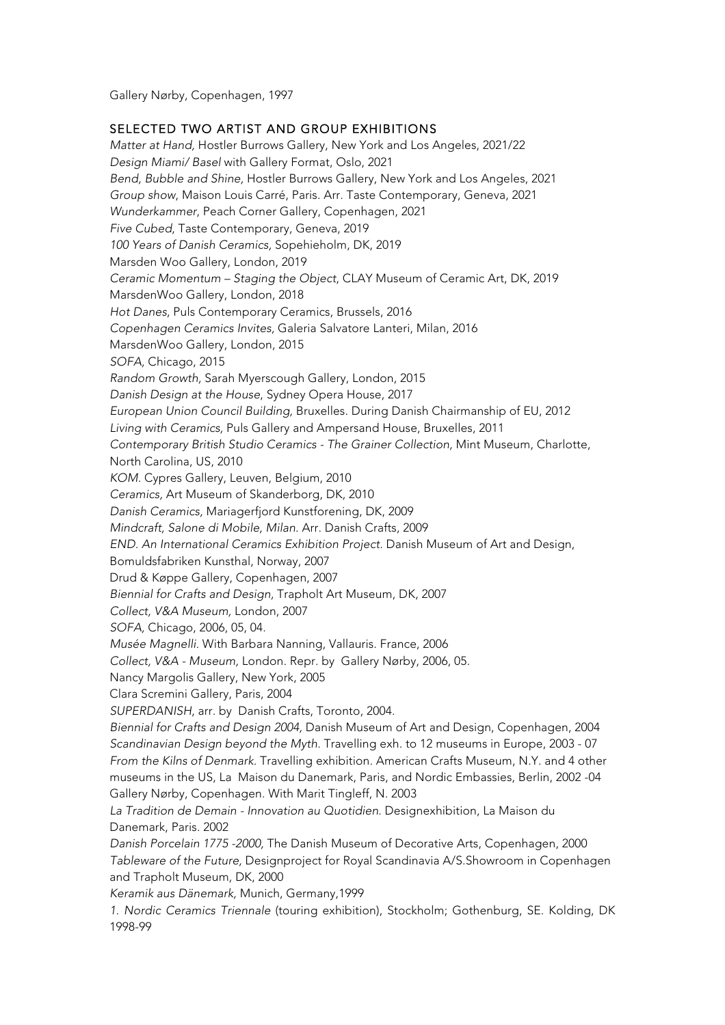Gallery Nørby, Copenhagen, 1997

### SELECTED TWO ARTIST AND GROUP EXHIBITIONS

*Matter at Hand,* Hostler Burrows Gallery, New York and Los Angeles, 2021/22 *Design Miami/ Basel* with Gallery Format, Oslo, 2021 *Bend, Bubble and Shine,* Hostler Burrows Gallery, New York and Los Angeles, 2021 *Group show*, Maison Louis Carré, Paris. Arr. Taste Contemporary, Geneva, 2021 *Wunderkammer*, Peach Corner Gallery, Copenhagen, 2021 *Five Cubed*, Taste Contemporary, Geneva, 2019 *100 Years of Danish Ceramics,* Sopehieholm, DK, 2019 Marsden Woo Gallery, London, 2019 *Ceramic Momentum – Staging the Object*, CLAY Museum of Ceramic Art, DK, 2019 MarsdenWoo Gallery, London, 2018 *Hot Danes*, Puls Contemporary Ceramics, Brussels, 2016 *Copenhagen Ceramics Invites,* Galeria Salvatore Lanteri, Milan, 2016 MarsdenWoo Gallery, London, 2015 *SOFA,* Chicago, 2015 *Random Growth,* Sarah Myerscough Gallery, London, 2015 *Danish Design at the House*, Sydney Opera House, 2017 *European Union Council Building,* Bruxelles. During Danish Chairmanship of EU, 2012 *Living with Ceramics,* Puls Gallery and Ampersand House, Bruxelles, 2011 *Contemporary British Studio Ceramics - The Grainer Collection,* Mint Museum, Charlotte, North Carolina, US, 2010 *KOM.* Cypres Gallery, Leuven, Belgium, 2010 *Ceramics,* Art Museum of Skanderborg, DK, 2010 *Danish Ceramics,* Mariagerfjord Kunstforening, DK, 2009 *Mindcraft, Salone di Mobile, Milan.* Arr. Danish Crafts, 2009 *END. An International Ceramics Exhibition Project.* Danish Museum of Art and Design, Bomuldsfabriken Kunsthal, Norway, 2007 Drud & Køppe Gallery, Copenhagen, 2007 *Biennial for Crafts and Design,* Trapholt Art Museum, DK, 2007 *Collect, V&A Museum,* London, 2007 *SOFA,* Chicago, 2006, 05, 04. *Musée Magnelli.* With Barbara Nanning, Vallauris. France, 2006 *Collect, V&A - Museum,* London. Repr. by Gallery Nørby, 2006, 05. Nancy Margolis Gallery, New York, 2005 Clara Scremini Gallery, Paris, 2004 *SUPERDANISH*, arr. by Danish Crafts, Toronto, 2004. *Biennial for Crafts and Design 2004,* Danish Museum of Art and Design, Copenhagen, 2004 *Scandinavian Design beyond the Myth*. Travelling exh. to 12 museums in Europe, 2003 - 07 *From the Kilns of Denmark.* Travelling exhibition. American Crafts Museum, N.Y. and 4 other museums in the US, La Maison du Danemark, Paris, and Nordic Embassies, Berlin, 2002 -04 Gallery Nørby, Copenhagen. With Marit Tingleff, N. 2003 *La Tradition de Demain - Innovation au Quotidien*. Designexhibition, La Maison du Danemark, Paris. 2002 *Danish Porcelain 1775 -2000,* The Danish Museum of Decorative Arts, Copenhagen, 2000 *Tableware of the Future,* Designproject for Royal Scandinavia A/S.Showroom in Copenhagen and Trapholt Museum, DK, 2000 *Keramik aus Dänemark,* Munich, Germany,1999 *1. Nordic Ceramics Triennale* (touring exhibition), Stockholm; Gothenburg, SE. Kolding, DK 1998-99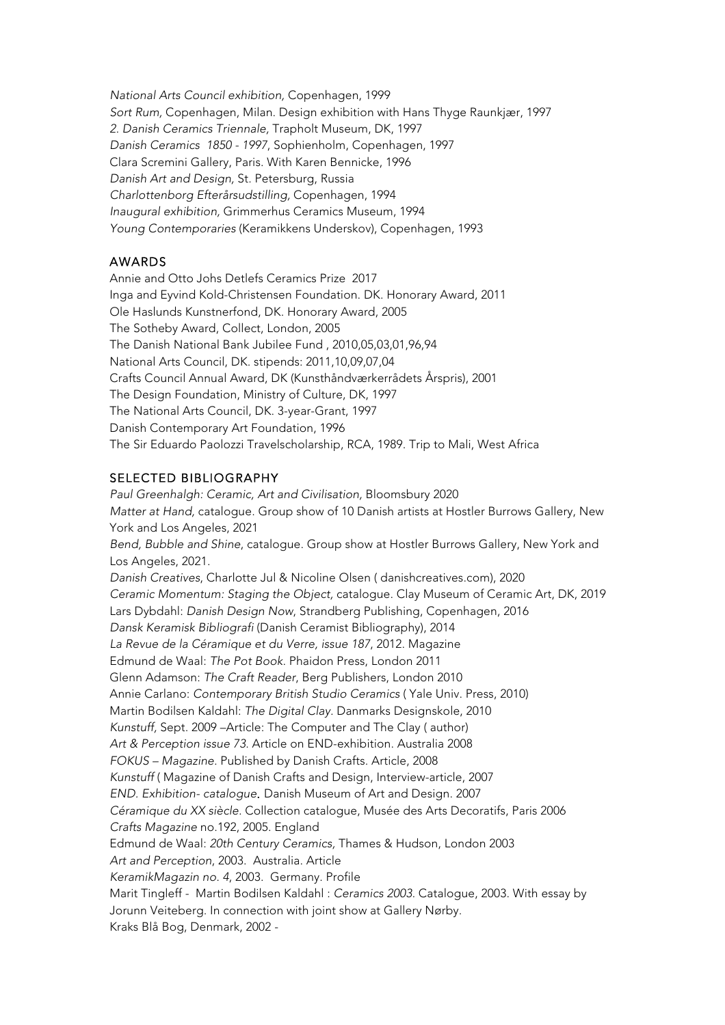*National Arts Council exhibition,* Copenhagen, 1999 *Sort Rum,* Copenhagen, Milan. Design exhibition with Hans Thyge Raunkjær, 1997 *2. Danish Ceramics Triennale,* Trapholt Museum, DK, 1997 *Danish Ceramics 1850 - 1997*, Sophienholm, Copenhagen, 1997 Clara Scremini Gallery, Paris. With Karen Bennicke, 1996 *Danish Art and Design,* St. Petersburg, Russia *Charlottenborg Efterårsudstilling,* Copenhagen, 1994 *Inaugural exhibition,* Grimmerhus Ceramics Museum, 1994 *Young Contemporaries* (Keramikkens Underskov), Copenhagen, 1993

### AWARDS

Annie and Otto Johs Detlefs Ceramics Prize 2017 Inga and Eyvind Kold-Christensen Foundation. DK. Honorary Award, 2011 Ole Haslunds Kunstnerfond, DK. Honorary Award, 2005 The Sotheby Award, Collect, London, 2005 The Danish National Bank Jubilee Fund , 2010,05,03,01,96,94 National Arts Council, DK. stipends: 2011,10,09,07,04 Crafts Council Annual Award, DK (Kunsthåndværkerrådets Årspris), 2001 The Design Foundation, Ministry of Culture, DK, 1997 The National Arts Council, DK. 3-year-Grant, 1997 Danish Contemporary Art Foundation, 1996 The Sir Eduardo Paolozzi Travelscholarship, RCA, 1989. Trip to Mali, West Africa

#### SELECTED BIBLIOGRAPHY

*Paul Greenhalgh: Ceramic, Art and Civilisation,* Bloomsbury 2020 *Matter at Hand,* catalogue. Group show of 10 Danish artists at Hostler Burrows Gallery, New York and Los Angeles, 2021 *Bend, Bubble and Shine*, catalogue. Group show at Hostler Burrows Gallery, New York and Los Angeles, 2021. *Danish Creatives*, Charlotte Jul & Nicoline Olsen ( danishcreatives.com), 2020 *Ceramic Momentum: Staging the Object,* catalogue. Clay Museum of Ceramic Art, DK, 2019 Lars Dybdahl: *Danish Design Now*, Strandberg Publishing, Copenhagen, 2016 *Dansk Keramisk Bibliografi* (Danish Ceramist Bibliography), 2014 *La Revue de la Céramique et du Verre, issue 187*, 2012. Magazine Edmund de Waal: *The Pot Book*. Phaidon Press, London 2011 Glenn Adamson: *The Craft Reader*, Berg Publishers, London 2010 Annie Carlano: *Contemporary British Studio Ceramics* ( Yale Univ. Press, 2010) Martin Bodilsen Kaldahl: *The Digital Clay.* Danmarks Designskole, 2010 *Kunstuff,* Sept. 2009 –Article: The Computer and The Clay ( author) *Art & Perception issue 73*. Article on END-exhibition. Australia 2008 *FOKUS – Magazine.* Published by Danish Crafts. Article, 2008 *Kunstuff* ( Magazine of Danish Crafts and Design, Interview-article, 2007 *END. Exhibition- catalogue*. Danish Museum of Art and Design. 2007 *Céramique du XX siècle.* Collection catalogue, Musée des Arts Decoratifs, Paris 2006 *Crafts Magazine* no.192, 2005. England Edmund de Waal: *20th Century Ceramics,* Thames & Hudson, London 2003 *Art and Perception*, 2003. Australia. Article *KeramikMagazin no. 4*, 2003. Germany. Profile Marit Tingleff - Martin Bodilsen Kaldahl : *Ceramics 2003.* Catalogue, 2003. With essay by Jorunn Veiteberg. In connection with joint show at Gallery Nørby. Kraks Blå Bog, Denmark, 2002 -